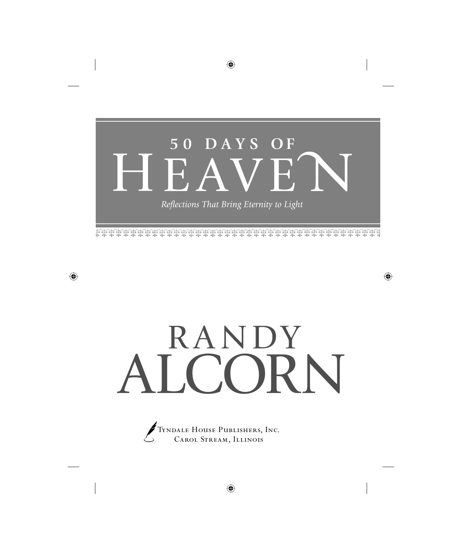# **50 DAY S OF** $\mathbf{E}$ *Refl ections That Bring Eternity to Light*

# RANDY ALCORN

Tyndale House Publishers, Inc. Carol Stream, Illinois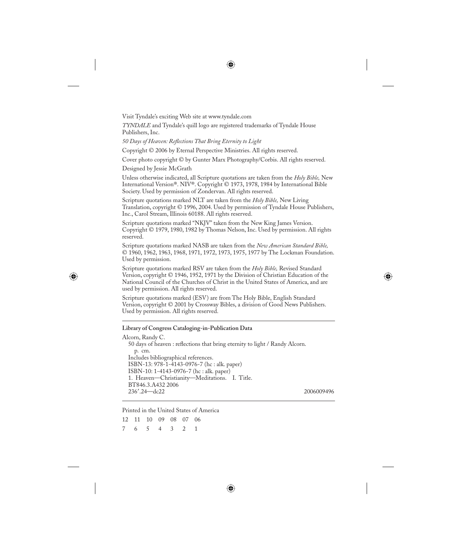Visit Tyndale's exciting Web site at www.tyndale.com

*TYNDALE* and Tyndale's quill logo are registered trademarks of Tyndale House Publishers, Inc.

50 Days of Heaven: Reflections That Bring Eternity to Light

Copyright © 2006 by Eternal Perspective Ministries. All rights reserved.

Cover photo copyright © by Gunter Marx Photography/Corbis. All rights reserved.

Designed by Jessie McGrath

Unless otherwise indicated, all Scripture quotations are taken from the *Holy Bible,* New International Version®. NIV®. Copyright © 1973, 1978, 1984 by International Bible Society. Used by permission of Zondervan. All rights reserved.

Scripture quotations marked NLT are taken from the *Holy Bible,* New Living Translation, copyright © 1996, 2004. Used by permission of Tyndale House Publishers, Inc., Carol Stream, Illinois 60188. All rights reserved.

Scripture quotations marked "NKJV" taken from the New King James Version. Copyright © 1979, 1980, 1982 by Thomas Nelson, Inc. Used by permission. All rights reserved.

Scripture quotations marked NASB are taken from the *New American Standard Bible,* © 1960, 1962, 1963, 1968, 1971, 1972, 1973, 1975, 1977 by The Lockman Foundation. Used by permission.

Scripture quotations marked RSV are taken from the *Holy Bible,* Revised Standard Version, copyright © 1946, 1952, 1971 by the Division of Christian Education of the National Council of the Churches of Christ in the United States of America, and are used by permission. All rights reserved.

Scripture quotations marked (ESV) are from The Holy Bible, English Standard Version, copyright © 2001 by Crossway Bibles, a division of Good News Publishers. Used by permission. All rights reserved.

#### **Library of Congress Cataloging-in-Publication Data**

Alcorn, Randy C. 50 days of heaven : reflections that bring eternity to light / Randy Alcorn. p. cm. Includes bibliographical references. ISBN-13: 978-1-4143-0976-7 (hc : alk. paper) ISBN-10: 1-4143-0976-7 (hc : alk. paper) 1. Heaven—Christianity—Meditations. I. Title. BT846.3.A432 2006 236′.24 —dc22 2006009496

Printed in the United States of America

12 11 10 09 08 07 06 7 6 5 4 3 2 1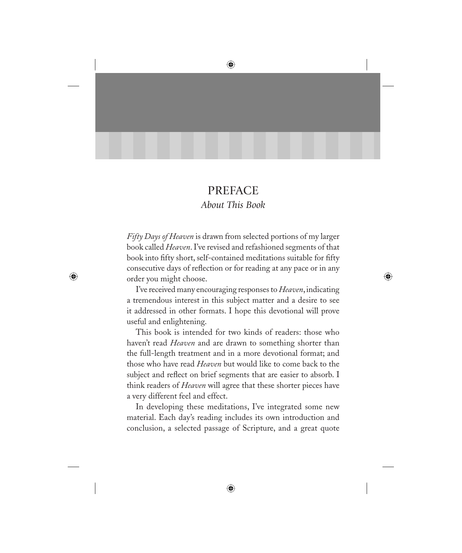# PREFACE *About This Book*

*Fifty Days of Heaven* is drawn from selected portions of my larger book called *Heaven*. I've revised and refashioned segments of that book into fifty short, self-contained meditations suitable for fifty consecutive days of reflection or for reading at any pace or in any order you might choose.

I've received many encouraging responses to *Heaven*, indicating a tremendous interest in this subject matter and a desire to see it addressed in other formats. I hope this devotional will prove useful and enlightening.

This book is intended for two kinds of readers: those who haven't read *Heaven* and are drawn to something shorter than the full-length treatment and in a more devotional format; and those who have read *Heaven* but would like to come back to the subject and reflect on brief segments that are easier to absorb. I think readers of *Heaven* will agree that these shorter pieces have a very different feel and effect.

In developing these meditations, I've integrated some new material. Each day's reading includes its own introduction and conclusion, a selected passage of Scripture, and a great quote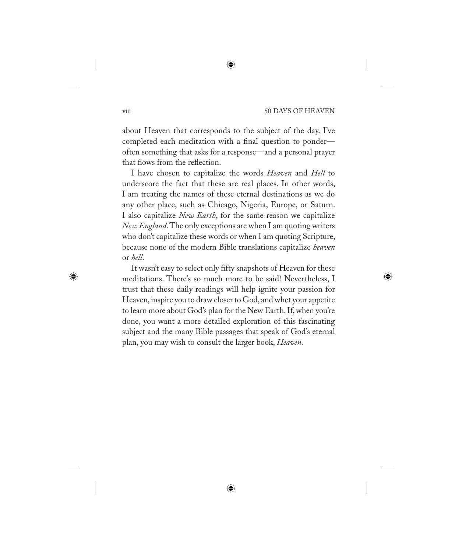about Heaven that corresponds to the subject of the day. I've completed each meditation with a final question to ponder often something that asks for a response—and a personal prayer that flows from the reflection.

I have chosen to capitalize the words *Heaven* and *Hell* to underscore the fact that these are real places. In other words, I am treating the names of these eternal destinations as we do any other place, such as Chicago, Nigeria, Europe, or Saturn. I also capitalize *New Earth*, for the same reason we capitalize *New England*. The only exceptions are when I am quoting writers who don't capitalize these words or when I am quoting Scripture, because none of the modern Bible translations capitalize *heaven* or *hell*.

It wasn't easy to select only fifty snapshots of Heaven for these meditations. There's so much more to be said! Nevertheless, I trust that these daily readings will help ignite your passion for Heaven, inspire you to draw closer to God, and whet your appetite to learn more about God's plan for the New Earth. If, when you're done, you want a more detailed exploration of this fascinating subject and the many Bible passages that speak of God's eternal plan, you may wish to consult the larger book, *Heaven.*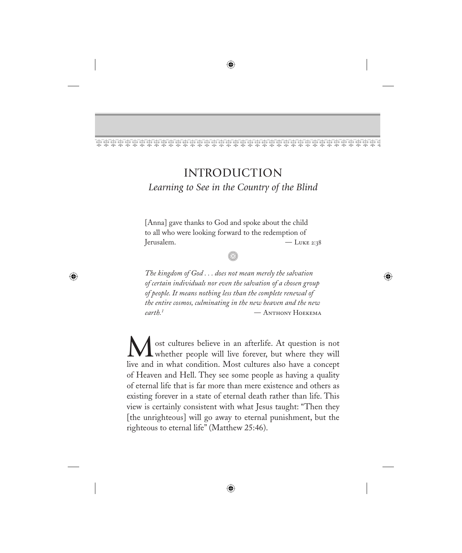# **INTRODUCTION** *Learning to See in the Country of the Blind*

[Anna] gave thanks to God and spoke about the child to all who were looking forward to the redemption of Jerusalem. Luke 2:38 —

 $\circledS$ 

*The kingdom of God . . . does not mean merely the salvation of certain individuals nor even the salvation of a chosen group of people. It means nothing less than the complete renewal of the entire cosmos, culminating in the new heaven and the new earth.*<sup>1</sup> — Anthony Hoekema

Most cultures believe in an afterlife. At question is not whether people will live forever, but where they will live and in what condition. Most cultures also have a concept of Heaven and Hell. They see some people as having a quality of eternal life that is far more than mere existence and others as existing forever in a state of eternal death rather than life. This view is certainly consistent with what Jesus taught: "Then they [the unrighteous] will go away to eternal punishment, but the righteous to eternal life" (Matthew 25:46).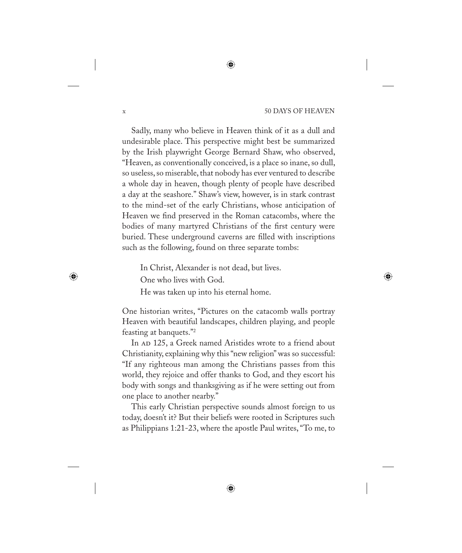Sadly, many who believe in Heaven think of it as a dull and undesirable place. This perspective might best be summarized by the Irish playwright George Bernard Shaw, who observed, "Heaven, as conventionally conceived, is a place so inane, so dull, so useless, so miserable, that nobody has ever ventured to describe a whole day in heaven, though plenty of people have described a day at the seashore." Shaw's view, however, is in stark contrast to the mind-set of the early Christians, whose anticipation of Heaven we find preserved in the Roman catacombs, where the bodies of many martyred Christians of the first century were buried. These underground caverns are filled with inscriptions such as the following, found on three separate tombs:

In Christ, Alexander is not dead, but lives.

One who lives with God.

He was taken up into his eternal home.

One historian writes, "Pictures on the catacomb walls portray Heaven with beautiful landscapes, children playing, and people feasting at banquets."2

In AD 125, a Greek named Aristides wrote to a friend about Christianity, explaining why this "new religion" was so successful: "If any righteous man among the Christians passes from this world, they rejoice and offer thanks to God, and they escort his body with songs and thanksgiving as if he were setting out from one place to another nearby."

This early Christian perspective sounds almost foreign to us today, doesn't it? But their beliefs were rooted in Scriptures such as Philippians 1:21-23, where the apostle Paul writes, "To me, to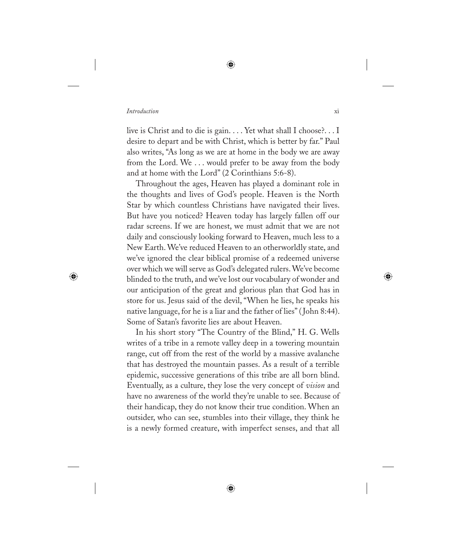live is Christ and to die is gain. . . . Yet what shall I choose?. . . I desire to depart and be with Christ, which is better by far." Paul also writes, "As long as we are at home in the body we are away from the Lord. We . . . would prefer to be away from the body and at home with the Lord" (2 Corinthians 5:6-8).

Throughout the ages, Heaven has played a dominant role in the thoughts and lives of God's people. Heaven is the North Star by which countless Christians have navigated their lives. But have you noticed? Heaven today has largely fallen off our radar screens. If we are honest, we must admit that we are not daily and consciously looking forward to Heaven, much less to a New Earth. We've reduced Heaven to an otherworldly state, and we've ignored the clear biblical promise of a redeemed universe over which we will serve as God's delegated rulers. We've become blinded to the truth, and we've lost our vocabulary of wonder and our anticipation of the great and glorious plan that God has in store for us. Jesus said of the devil, "When he lies, he speaks his native language, for he is a liar and the father of lies" ( John 8:44). Some of Satan's favorite lies are about Heaven.

In his short story "The Country of the Blind," H. G. Wells writes of a tribe in a remote valley deep in a towering mountain range, cut off from the rest of the world by a massive avalanche that has destroyed the mountain passes. As a result of a terrible epidemic, successive generations of this tribe are all born blind. Eventually, as a culture, they lose the very concept of *vision* and have no awareness of the world they're unable to see. Because of their handicap, they do not know their true condition. When an outsider, who can see, stumbles into their village, they think he is a newly formed creature, with imperfect senses, and that all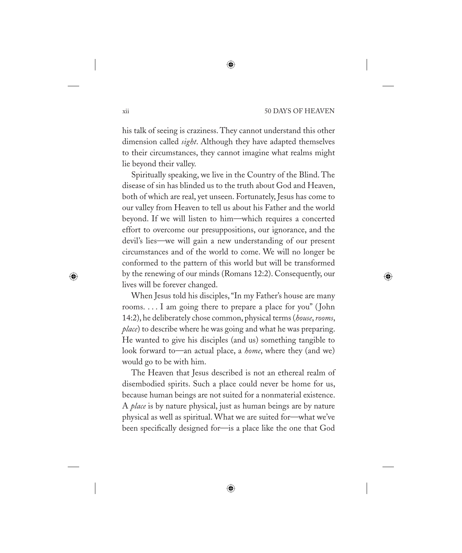his talk of seeing is craziness. They cannot understand this other dimension called *sight*. Although they have adapted themselves to their circumstances, they cannot imagine what realms might lie beyond their valley.

Spiritually speaking, we live in the Country of the Blind. The disease of sin has blinded us to the truth about God and Heaven, both of which are real, yet unseen. Fortunately, Jesus has come to our valley from Heaven to tell us about his Father and the world beyond. If we will listen to him—which requires a concerted effort to overcome our presuppositions, our ignorance, and the devil's lies—we will gain a new understanding of our present circumstances and of the world to come. We will no longer be conformed to the pattern of this world but will be transformed by the renewing of our minds (Romans 12:2). Consequently, our lives will be forever changed.

When Jesus told his disciples, "In my Father's house are many rooms. . . . I am going there to prepare a place for you" ( John 14:2), he deliberately chose common, physical terms (*house*, *rooms*, *place*) to describe where he was going and what he was preparing. He wanted to give his disciples (and us) something tangible to look forward to—an actual place, a *home*, where they (and we) would go to be with him.

The Heaven that Jesus described is not an ethereal realm of disembodied spirits. Such a place could never be home for us, because human beings are not suited for a nonmaterial existence. A *place* is by nature physical, just as human beings are by nature physical as well as spiritual. What we are suited for—what we've been specifically designed for—is a place like the one that God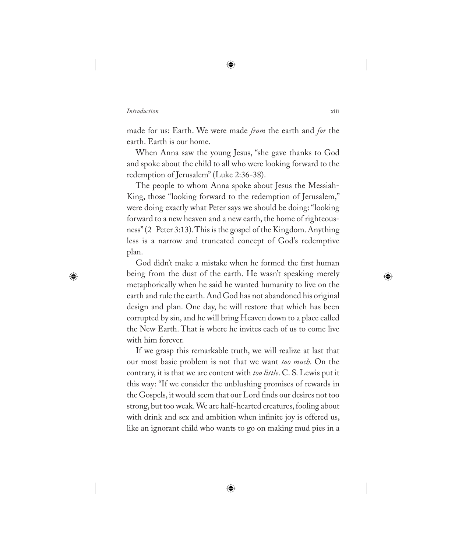made for us: Earth. We were made *from* the earth and *for* the earth. Earth is our home.

When Anna saw the young Jesus, "she gave thanks to God and spoke about the child to all who were looking forward to the redemption of Jerusalem" (Luke 2:36-38).

The people to whom Anna spoke about Jesus the Messiah-King, those "looking forward to the redemption of Jerusalem," were doing exactly what Peter says we should be doing: "looking for ward to a new heaven and a new earth, the home of righteousness" (2 Peter 3:13). This is the gospel of the Kingdom. Anything less is a narrow and truncated concept of God's redemptive plan.

God didn't make a mistake when he formed the first human being from the dust of the earth. He wasn't speaking merely metaphorically when he said he wanted humanity to live on the earth and rule the earth. And God has not abandoned his original design and plan. One day, he will restore that which has been corrupted by sin, and he will bring Heaven down to a place called the New Earth. That is where he invites each of us to come live with him forever

If we grasp this remarkable truth, we will realize at last that our most basic problem is not that we want *too much*. On the contrary, it is that we are content with *too little*. C. S. Lewis put it this way: "If we consider the unblushing promises of rewards in the Gospels, it would seem that our Lord finds our desires not too strong, but too weak. We are half-hearted creatures, fooling about with drink and sex and ambition when infinite joy is offered us, like an ignorant child who wants to go on making mud pies in a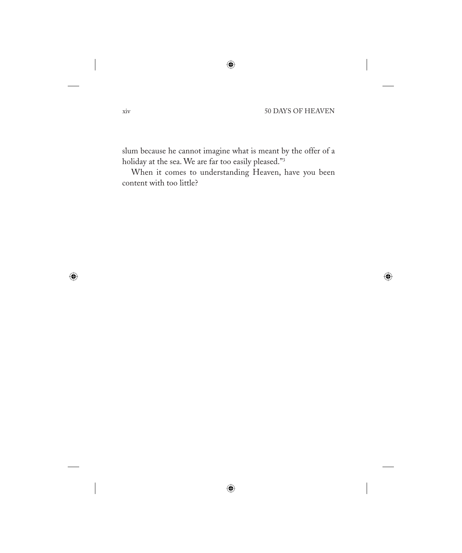slum because he cannot imagine what is meant by the offer of a holiday at the sea. We are far too easily pleased."3

When it comes to understanding Heaven, have you been content with too little?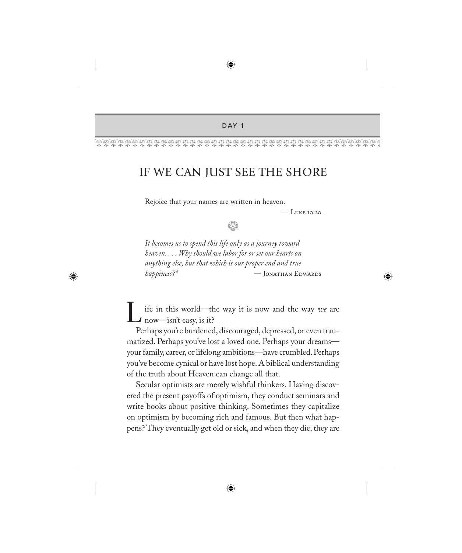## IF WE CAN JUST SEE THE SHORE

Rejoice that your names are written in heaven.

 $-$  Luke 10:20



*It becomes us to spend this life only as a journey toward heaven. . . . Why should we labor for or set our hearts on anything else, but that which is our proper end and true happiness? <sup>4</sup>* Jonathan Edwards —

Life in this world—the way it is now and the way *we* are  $\rightarrow$  now—isn't easy, is it?

Perhaps you're burdened, discouraged, depressed, or even traumatized. Perhaps you've lost a loved one. Perhaps your dreams your family, career, or lifelong ambitions—have crumbled. Perhaps you've become cynical or have lost hope. A biblical understanding of the truth about Heaven can change all that.

Secular optimists are merely wishful thinkers. Having discovered the present payoffs of optimism, they conduct seminars and write books about positive thinking. Sometimes they capitalize on optimism by becoming rich and famous. But then what happens? They eventually get old or sick, and when they die, they are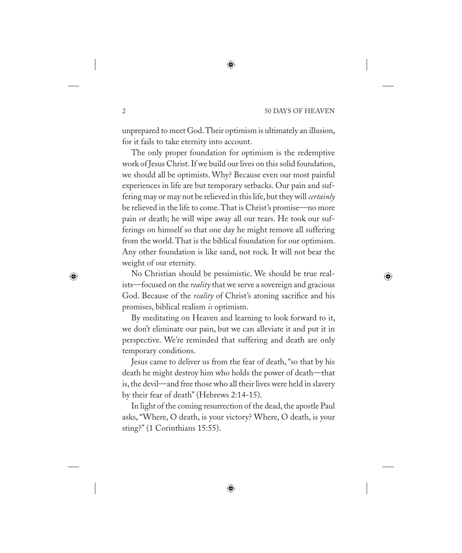unprepared to meet God. Their optimism is ultimately an illusion, for it fails to take eternity into account.

The only proper foundation for optimism is the redemptive work of Jesus Christ. If we build our lives on this solid foundation, we should all be optimists. Why? Because even our most painful experiences in life are but temporary setbacks. Our pain and suffering may or may not be relieved in this life, but they will *certainly* be relieved in the life to come. That is Christ's promise—no more pain or death; he will wipe away all our tears. He took our sufferings on himself so that one day he might remove all suffering from the world. That is the biblical foundation for our optimism. Any other foundation is like sand, not rock. It will not bear the weight of our eternity.

No Christian should be pessimistic. We should be true realists—focused on the *reality* that we serve a sovereign and gracious God. Because of the *reality* of Christ's atoning sacrifice and his promises, biblical realism *is* optimism.

By meditating on Heaven and learning to look forward to it, we don't eliminate our pain, but we can alleviate it and put it in perspective. We're reminded that suffering and death are only temporary conditions.

Jesus came to deliver us from the fear of death, "so that by his death he might destroy him who holds the power of death—that is, the devil—and free those who all their lives were held in slavery by their fear of death" (Hebrews 2:14-15).

In light of the coming resurrection of the dead, the apostle Paul asks, "Where, O death, is your victory? Where, O death, is your sting?" (1 Corinthians 15:55).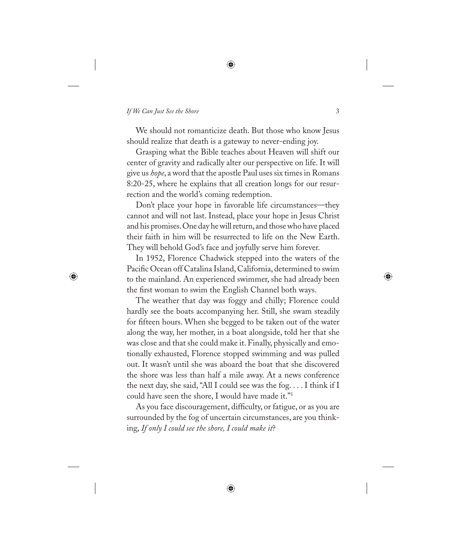We should not romanticize death. But those who know Jesus should realize that death is a gateway to never-ending joy.

Grasping what the Bible teaches about Heaven will shift our center of gravity and radically alter our perspective on life. It will give us *hope*, a word that the apostle Paul uses six times in Romans 8:20-25, where he explains that all creation longs for our resurrection and the world's coming redemption.

Don't place your hope in favorable life circumstances—they cannot and will not last. Instead, place your hope in Jesus Christ and his promises. One day he will return, and those who have placed their faith in him will be resurrected to life on the New Earth. They will behold God's face and joyfully serve him forever.

In 1952, Florence Chadwick stepped into the waters of the Pacific Ocean off Catalina Island, California, determined to swim to the mainland. An experienced swimmer, she had already been the first woman to swim the English Channel both ways.

The weather that day was foggy and chilly; Florence could hardly see the boats accompanying her. Still, she swam steadily for fifteen hours. When she begged to be taken out of the water along the way, her mother, in a boat alongside, told her that she was close and that she could make it. Finally, physically and emotionally exhausted, Florence stopped swimming and was pulled out. It wasn't until she was aboard the boat that she discovered the shore was less than half a mile away. At a news conference the next day, she said, "All I could see was the fog. . . . I think if I could have seen the shore, I would have made it."5

As you face discouragement, difficulty, or fatigue, or as you are surrounded by the fog of uncertain circumstances, are you thinking, *If only I could see the shore, I could make it*?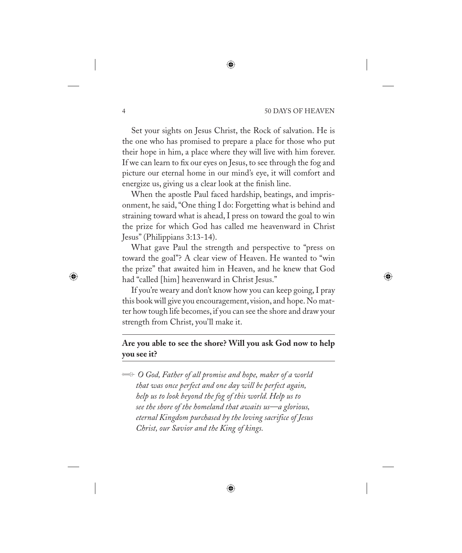Set your sights on Jesus Christ, the Rock of salvation. He is the one who has promised to prepare a place for those who put their hope in him, a place where they will live with him forever. If we can learn to fix our eyes on Jesus, to see through the fog and picture our eternal home in our mind's eye, it will comfort and energize us, giving us a clear look at the finish line.

When the apostle Paul faced hardship, beatings, and imprisonment, he said, "One thing I do: Forgetting what is behind and straining toward what is ahead, I press on toward the goal to win the prize for which God has called me heavenward in Christ Jesus" (Philippians 3:13-14).

What gave Paul the strength and perspective to "press on toward the goal"? A clear view of Heaven. He wanted to "win the prize" that awaited him in Heaven, and he knew that God had "called [him] heavenward in Christ Jesus."

If you're weary and don't know how you can keep going, I pray this book will give you encouragement, vision, and hope. No matter how tough life becomes, if you can see the shore and draw your strength from Christ, you'll make it.

#### **Are you able to see the shore? Will you ask God now to help you see it?**

 *O God, Father of all promise and hope, maker of a world that was once perfect and one day will be perfect again, help us to look beyond the fog of this world. Help us to see the shore of the homeland that awaits us—a glorious, eternal Kingdom purchased by the loving sacrifice of Jesus Christ, our Savior and the King of kings.*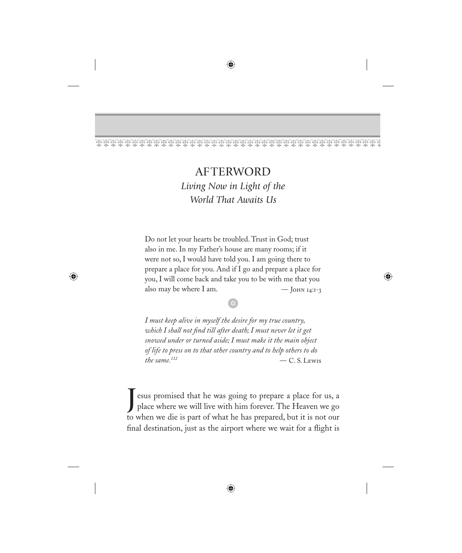# **AFTERWORD** *Living Now in Light of the World That Awaits Us*

Do not let your hearts be troubled. Trust in God; trust also in me. In my Father's house are many rooms; if it were not so, I would have told you. I am going there to prepare a place for you. And if I go and prepare a place for you, I will come back and take you to be with me that you also may be where I am. — Јон<br/>м 14:1-3



*I must keep alive in myself the desire for my true country,*  which I shall not find till after death; I must never let it get *snowed under or turned aside; I must make it the main object of life to press on to that other country and to help others to do the same.*<sup> $112$ </sup>  $-$  C. S. Lewis

J esus promised that he was going to prepare a place for us, a place where we will live with him forever. The Heaven we go to when we die is part of what he has prepared, but it is not our final destination, just as the airport where we wait for a flight is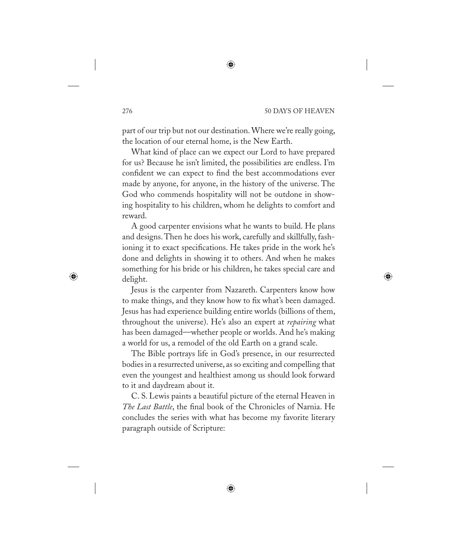part of our trip but not our destination. Where we're really going, the location of our eternal home, is the New Earth.

What kind of place can we expect our Lord to have prepared for us? Because he isn't limited, the possibilities are endless. I'm confident we can expect to find the best accommodations ever made by anyone, for anyone, in the history of the universe. The God who commends hospitality will not be outdone in showing hospitality to his children, whom he delights to comfort and reward.

A good carpenter envisions what he wants to build. He plans and designs. Then he does his work, carefully and skillfully, fashioning it to exact specifications. He takes pride in the work he's done and delights in showing it to others. And when he makes something for his bride or his children, he takes special care and delight.

Jesus is the carpenter from Nazareth. Carpenters know how to make things, and they know how to fix what's been damaged. Jesus has had experience building entire worlds (billions of them, throughout the universe). He's also an expert at *repairing* what has been damaged—whether people or worlds. And he's making a world for us, a remodel of the old Earth on a grand scale.

The Bible portrays life in God's presence, in our resurrected bodies in a resurrected universe, as so exciting and compelling that even the youngest and healthiest among us should look forward to it and daydream about it.

C. S. Lewis paints a beautiful picture of the eternal Heaven in The Last Battle, the final book of the Chronicles of Narnia. He concludes the series with what has become my favorite literary paragraph outside of Scripture: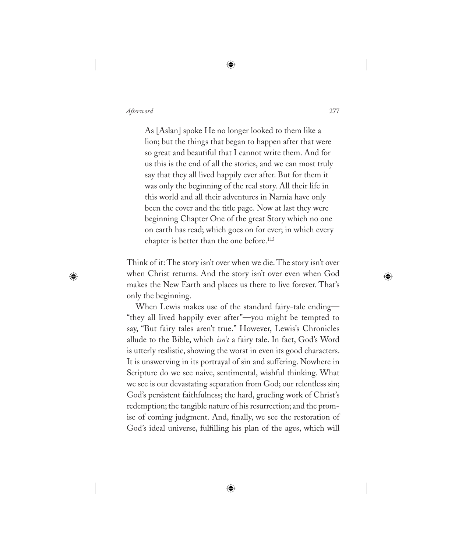As [Aslan] spoke He no longer looked to them like a lion; but the things that began to happen after that were so great and beautiful that I cannot write them. And for us this is the end of all the stories, and we can most truly say that they all lived happily ever after. But for them it was only the beginning of the real story. All their life in this world and all their adventures in Narnia have only been the cover and the title page. Now at last they were beginning Chapter One of the great Story which no one on earth has read; which goes on for ever; in which every chapter is better than the one before.<sup>113</sup>

Think of it: The story isn't over when we die. The story isn't over when Christ returns. And the story isn't over even when God makes the New Earth and places us there to live forever. That's only the beginning.

When Lewis makes use of the standard fairy-tale ending— "they all lived happily ever after"—you might be tempted to say, "But fairy tales aren't true." However, Lewis's Chronicles allude to the Bible, which *isn't* a fairy tale. In fact, God's Word is utterly realistic, showing the worst in even its good characters. It is unswerving in its portrayal of sin and suffering. Nowhere in Scripture do we see naive, sentimental, wishful thinking. What we see is our devastating separation from God; our relentless sin; God's persistent faithfulness; the hard, grueling work of Christ's redemption; the tangible nature of his resurrection; and the promise of coming judgment. And, finally, we see the restoration of God's ideal universe, fulfilling his plan of the ages, which will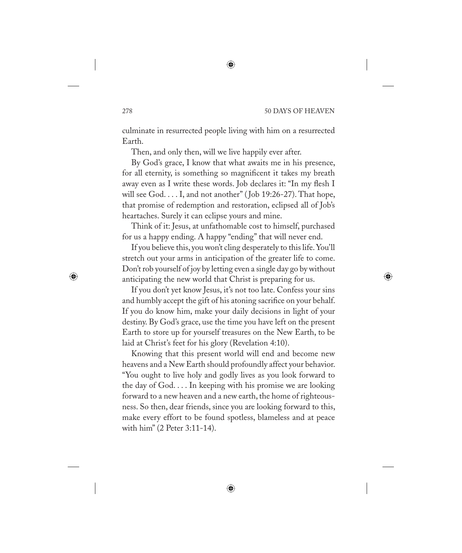culminate in resurrected people living with him on a resurrected Earth.

Then, and only then, will we live happily ever after.

By God's grace, I know that what awaits me in his presence, for all eternity, is something so magnificent it takes my breath away even as I write these words. Job declares it: "In my flesh I will see God. . . . I, and not another" (Job 19:26-27). That hope, that promise of redemption and restoration, eclipsed all of Job's heartaches. Surely it can eclipse yours and mine.

Think of it: Jesus, at unfathomable cost to himself, purchased for us a happy ending. A happy "ending" that will never end.

If you believe this, you won't cling desperately to this life. You'll stretch out your arms in anticipation of the greater life to come. Don't rob yourself of joy by letting even a single day go by without anticipating the new world that Christ is preparing for us.

If you don't yet know Jesus, it's not too late. Confess your sins and humbly accept the gift of his atoning sacrifice on your behalf. If you do know him, make your daily decisions in light of your destiny. By God's grace, use the time you have left on the present Earth to store up for yourself treasures on the New Earth, to be laid at Christ's feet for his glory (Revelation 4:10).

Knowing that this present world will end and become new heavens and a New Earth should profoundly affect your behavior. "You ought to live holy and godly lives as you look forward to the day of God. . . . In keeping with his promise we are looking forward to a new heaven and a new earth, the home of righteousness. So then, dear friends, since you are looking forward to this, make everyeffort to be found spotless, blameless and at peace with him" (2 Peter 3:11-14).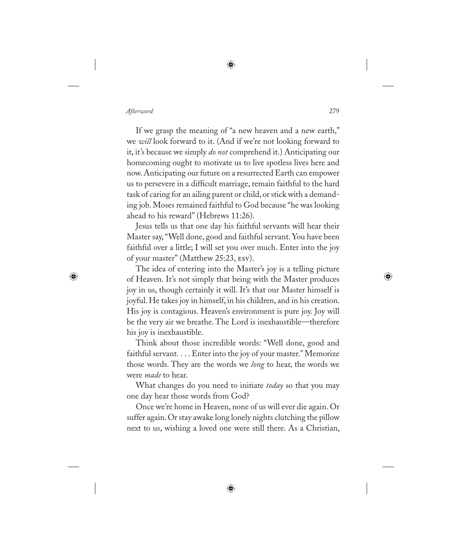If we grasp the meaning of "a new heaven and a new earth," we *will* look forward to it. (And if we're not looking forward to it, it's because we simply *do not* comprehend it.) Anticipating our homecoming ought to motivate us to live spotless lives here and now. Anticipating our future on a resurrected Earth can empower us to persevere in a difficult marriage, remain faithful to the hard task of caring for an ailing parent or child, or stick with a demanding job. Moses remained faithful to God because "he was looking ahead to his reward" (Hebrews 11:26).

Jesus tells us that one day his faithful servants will hear their Master say, "Well done, good and faithful servant. You have been faithful over a little; I will set you over much. Enter into the joy of your master" (Matthew 25:23, esv).

The idea of entering into the Master's joy is a telling picture of Heaven. It's not simply that being with the Master produces joy in us, though certainly it will. It's that our Master himself is joyful. He takes joy in himself, in his children, and in his creation. His joy is contagious. Heaven's environment is pure joy. Joy will be the very air we breathe. The Lord is inexhaustible—therefore his joy is inexhaustible.

Think about those incredible words: "Well done, good and faithful servant. . . . Enter into the joy of your master." Memorize those words. They are the words we *long* to hear, the words we were *made* to hear.

What changes do you need to initiate *today* so that you may one day hear those words from God?

Once we're home in Heaven, none of us will ever die again. Or suffer again. Or stay awake long lonely nights clutching the pillow next to us, wishing a loved one were still there. As a Christian,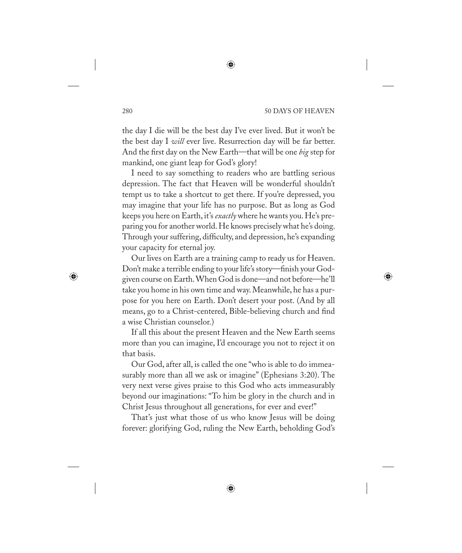the day I die will be the best day I've ever lived. But it won't be the best day I *will* ever live. Resurrection day will be far better. And the first day on the New Earth—that will be one *big* step for mankind, one giant leap for God's glory!

I need to say something to readers who are battling serious depression. The fact that Heaven will be wonderful shouldn't tempt us to take a shortcut to get there. If you're depressed, you may imagine that your life has no purpose. But as long as God keeps you here on Earth, it's *exactly* where he wants you. He's preparing you for another world. He knows precisely what he's doing. Through your suffering, difficulty, and depression, he's expanding your capacity for eternal joy.

Our lives on Earth are a training camp to ready us for Heaven. Don't make a terrible ending to your life's story—finish your Godgiven course on Earth. When God is done—and not before—he'll take you home in his own time and way. Meanwhile, he has a purpose for you here on Earth. Don't desert your post. (And by all means, go to a Christ-centered, Bible-believing church and find a wise Christian counselor.)

If all this about the present Heaven and the New Earth seems more than you can imagine, I'd encourage you not to reject it on that basis.

Our God, after all, is called the one "who is able to do immeasurably more than all we ask or imagine" (Ephesians 3:20). The very next verse gives praise to this God who acts immeasurably beyond our imaginations: "To him be glory in the church and in Christ Jesus throughout all generations, for ever and ever!"

That's just what those of us who know Jesus will be doing forever: glorifying God, ruling the New Earth, beholding God's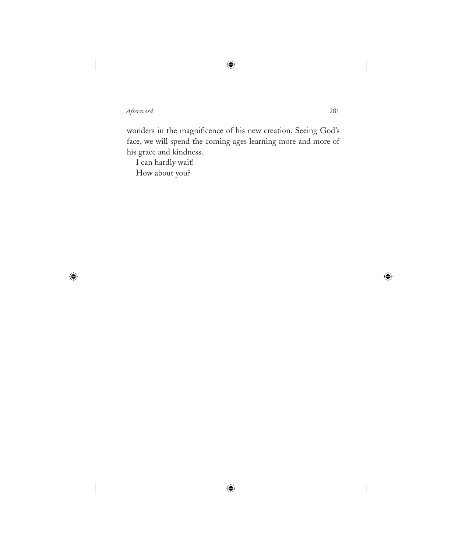wonders in the magnificence of his new creation. Seeing God's face, we will spend the coming ages learning more and more of his grace and kindness.

I can hardly wait! How about you?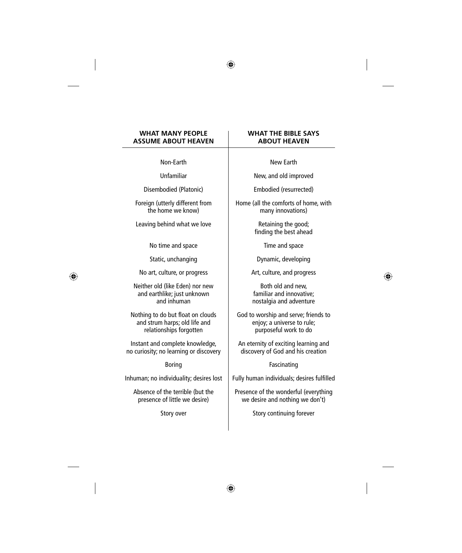#### **WHAT MANY PEOPLE ASSUME ABOUT HEAVEN**

Non-Earth

Unfamiliar

Disembodied (Platonic)

Foreign (utterly different from the home we know)

Leaving behind what we love

No time and space

Static, unchanging

No art, culture, or progress

Neither old (like Eden) nor new and earthlike; just unknown and inhuman

Nothing to do but float on clouds and strum harps; old life and relationships forgotten

Instant and complete knowledge, no curiosity; no learning or discovery

Boring

Inhuman; no individuality; desires lost

Absence of the terrible (but the presence of little we desire)

Story over

#### **WHAT THE BIBLE SAYS ABOUT HEAVEN**

New Earth

New, and old improved

Embodied (resurrected)

Home (all the comforts of home, with many innovations)

> Retaining the good; finding the best ahead

> > Time and space

Dynamic, developing

Art, culture, and progress

Both old and new, familiar and innovative; nostalgia and adventure

God to worship and serve; friends to enjoy; a universe to rule; purposeful work to do

An eternity of exciting learning and discovery of God and his creation

Fascinating

Fully human individuals; desires fulfilled

Presence of the wonderful (everything we desire and nothing we don't)

Story continuing forever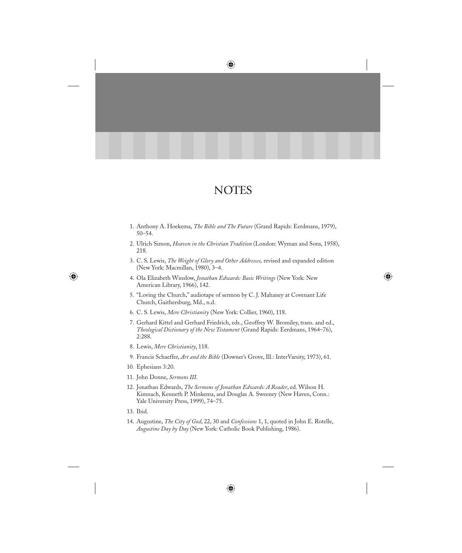### **NOTES**

- Anthony A. Hoekema, *The Bible and The Future* (Grand Rapids: Eerdmans, 1979), 1. 50–54.
- Ulrich Simon, *Heaven in the Christian Tradition* (London: Wyman and Sons, 1958), 2. 218.
- C. S. Lewis, *The Weight of Glory and Other Addresses,* revised and expanded edition 3. (New York: Macmillan, 1980), 3–4.
- Ola Elizabeth Winslow, *Jonathan Edwards: Basic Writings* (New York: New 4. American Library, 1966), 142.
- 5. "Loving the Church," audiotape of sermon by C. J. Mahaney at Covenant Life Church, Gaithersburg, Md., n.d.
- C. S. Lewis, *Mere Christianity* (New York: Collier, 1960), 118. 6.
- 7. Gerhard Kittel and Gerhard Friedrich, eds., Geoffrey W. Bromiley, trans. and ed., *Theological Dictionary of the New Testament* (Grand Rapids: Eerdmans, 1964–76), 2:288.
- Lewis, *Mere Christianity*, 118. 8.
- Francis Schaeffer, *Art and the Bible* (Downer's Grove, Ill.: InterVarsity, 1973), 61. 9.
- Ephesians 3:20. 10.
- John Donne, *Sermons III*. 11.
- Jonathan Edwards, *The Sermons of Jonathan Edwards: A Reader*, ed. Wilson H. 12. Kimnach, Kenneth P. Minkema, and Douglas A. Sweeney (New Haven, Conn.: Yale University Press, 1999), 74–75.
- Ibid. 13.
- Augustine, *The City of God*, 22, 30 and *Confessions* 1, 1, quoted in John E. Rotelle, 14.*Augustine Day by Day* (New York: Catholic Book Publishing, 1986).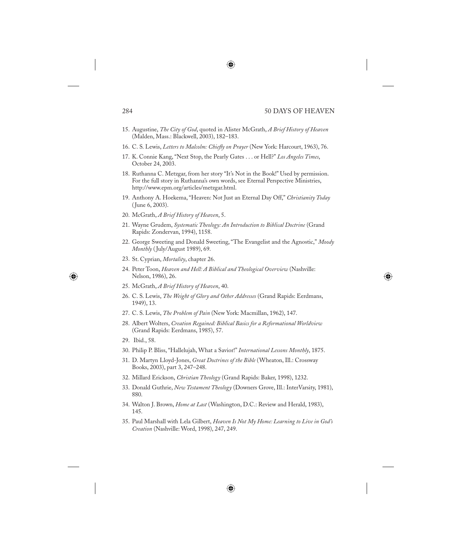- Augustine, *The City of God*, quoted in Alister McGrath, *A Brief History of Heaven* 15. (Malden, Mass.: Blackwell, 2003), 182–183.
- 16. C. S. Lewis, *Letters to Malcolm: Chiefly on Prayer* (New York: Harcourt, 1963), 76.
- 17. K. Connie Kang, "Next Stop, the Pearly Gates . . . or Hell?" *Los Angeles Times*, October 24, 2003.
- 18. Ruthanna C. Metzgar, from her story "It's Not in the Book!" Used by permission. For the full story in Ruthanna's own words, see Eternal Perspective Ministries, http://www.epm.org/articles/metzgar.html.
- Anthony A. Hoekema, "Heaven: Not Just an Eternal Day Off," *Christianity Today* 19. ( June 6, 2003).
- McGrath, *A Brief History of Heaven*, 5. 20.
- Wayne Grudem, *Systematic Theology: An Introduction to Biblical Doctrine* (Grand 21. Rapids: Zondervan, 1994), 1158.
- George Sweeting and Donald Sweeting, "The Evangelist and the Agnostic," *Moody*  22. *Monthly* ( July/August 1989), 69.
- 23. St. Cyprian, *Mortality*, chapter 26.
- Peter Toon, *Heaven and Hell: A Biblical and Theological Overview* (Nashville: 24. Nelson, 1986), 26.
- McGrath, *A Brief History of Heaven*, 40. 25.
- C. S. Lewis, *The Weight of Glory and Other Addresses* (Grand Rapids: Eerdmans, 26. 1949), 13.
- C. S. Lewis, *The Problem of Pain* (New York: Macmillan, 1962), 147. 27.
- Albert Wolters, *Creation Regained: Biblical Basics for a Reformational Worldview* 28. (Grand Rapids: Eerdmans, 1985), 57.
- 29. Ibid., 58.
- Philip P. Bliss, "Hallelujah, What a Savior!" *International Lessons Monthly*, 1875. 30.
- D. Martyn Lloyd-Jones, *Great Doctrines of the Bible* (Wheaton, Ill.: Crossway 31. Books, 2003), part 3, 247–248.
- Millard Erickson, *Christian Theology* (Grand Rapids: Baker, 1998), 1232. 32.
- Donald Guthrie, *New Testament Theology* (Downers Grove, Ill.: InterVarsity, 1981), 33. 880.
- Walton J. Brown, *Home at Last* (Washington, D.C.: Review and Herald, 1983), 34. 145.
- 35. Paul Marshall with Lela Gilbert, *Heaven Is Not My Home: Learning to Live in God's Creation* (Nashville: Word, 1998), 247, 249.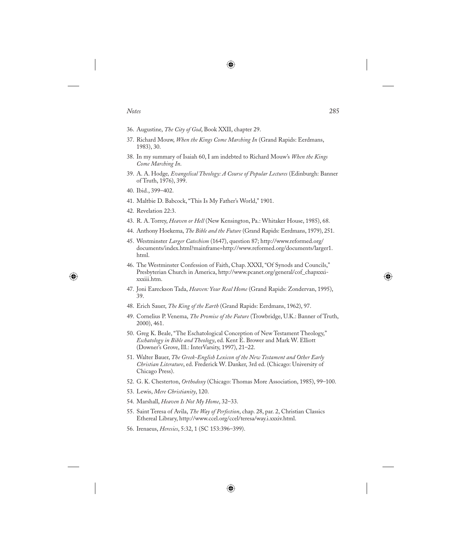- Augustine, *The City of God*, Book XXII, chapter 29. 36.
- 37. Richard Mouw, *When the Kings Come Marching In* (Grand Rapids: Eerdmans, 1983), 30.
- In my summary of Isaiah 60, I am indebted to Richard Mouw's *When the Kings*  38. *Come Marching In*.
- A. A. Hodge*, Evangelical Theology: A Course of Popular Lectures* (Edinburgh: Banner 39. of Truth, 1976), 399.
- Ibid., 399–402. 40.
- Maltbie D. Babcock, "This Is My Father's World," 1901. 41.
- Revelation 22:3. 42.
- R. A. Torrey, *Heaven or Hell* (New Kensington, Pa.: Whitaker House, 1985), 68. 43.
- Anthony Hoekema, *The Bible and the Future* (Grand Rapids: Eerdmans, 1979), 251. 44.
- Westminster *Larger Catechism* (1647), question 87; http://www.reformed.org/ 45. documents/index.html?mainframe=http://www.reformed.org/documents/larger1. html.
- The Westminster Confession of Faith, Chap. XXXI, "Of Synods and Councils," 46. Presbyterian Church in America, http://www.pcanet.org/general/cof\_chapxxxixxxiii.htm.
- 47. Joni Eareckson Tada, *Heaven: Your Real Home* (Grand Rapids: Zondervan, 1995), 39.
- Erich Sauer, *The King of the Earth* (Grand Rapids: Eerdmans, 1962), 97. 48.
- Cornelius P. Venema, *The Promise of the Future* (Trowbridge, U.K.: Banner of Truth, 49. 2000), 461.
- 50. Greg K. Beale, "The Eschatological Conception of New Testament Theology," *Eschatology in Bible and Theology*, ed. Kent E. Brower and Mark W. Elliott (Downer's Grove, Ill.: InterVarsity, 1997), 21–22.
- Walter Bauer, *The Greek-English Lexicon of the New Testament and Other Early*  51. *Christian Literature*, ed. Frederick W. Danker, 3rd ed. (Chicago: University of Chicago Press).
- G. K. Chesterton, *Orthodoxy* (Chicago: Thomas More Association, 1985), 99–100. 52.
- Lewis, *Mere Christianity*, 120. 53.
- Marshall, *Heaven Is Not My Home*, 32–33. 54.
- 55. Saint Teresa of Avila, *The Way of Perfection*, chap. 28, par. 2, Christian Classics Ethereal Library, http://www.ccel.org/ccel/teresa/way.i.xxxiv.html.
- 56. Irenaeus, *Heresies*, 5:32, 1 (SC 153:396–399).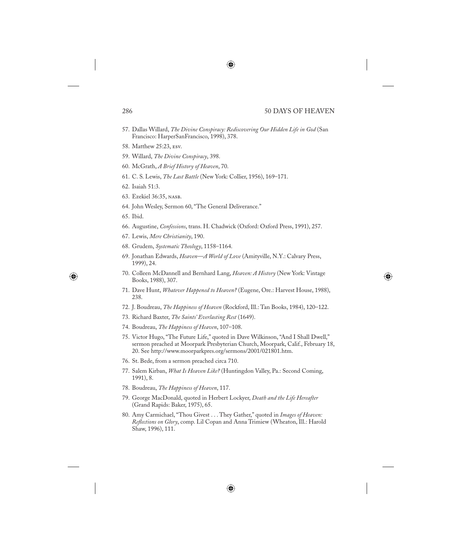- 57. Dallas Willard, *The Divine Conspiracy: Rediscovering Our Hidden Life in God* (San Francisco: HarperSanFrancisco, 1998), 378.
- 58. Matthew 25:23, esv.
- Willard, *The Divine Conspiracy*, 398. 59.
- McGrath, *A Brief History of Heaven*, 70. 60.
- C. S. Lewis, *The Last Battle* (New York: Collier, 1956), 169–171. 61.
- 62. Isaiah 51:3.
- 63. Ezekiel 36:35, nasb.
- 64. John Wesley, Sermon 60, "The General Deliverance."
- 65. Ibid.
- Augustine, *Confessions*, trans. H. Chadwick (Oxford: Oxford Press, 1991), 257. 66.
- Lewis, *Mere Christianity*, 190. 67.
- Grudem, *Systematic Theology*, 1158–1164. 68.
- 69. Jonathan Edwards, *Heaven—A World of Love* (Amityville, N.Y.: Calvary Press, 1999), 24.
- 70. Colleen McDannell and Bernhard Lang, *Heaven: A History* (New York: Vintage Books, 1988), 307.
- 71. Dave Hunt, *Whatever Happened to Heaven?* (Eugene, Ore.: Harvest House, 1988), 238.
- 72. J. Boudreau, *The Happiness of Heaven* (Rockford, Ill.: Tan Books, 1984), 120–122.
- 73. Richard Baxter, *The Saints' Everlasting Rest* (1649).
- 74. Boudreau, *The Happiness of Heaven*, 107–108.
- 75. Victor Hugo, "The Future Life," quoted in Dave Wilkinson, "And I Shall Dwell," sermon preached at Moorpark Presbyterian Church, Moorpark, Calif., February 18, 20. See http://www.moorparkpres.org/sermons/2001/021801.htm.
- 76. St. Bede, from a sermon preached circa 710.
- 77. Salem Kirban, *What Is Heaven Like?* (Huntingdon Valley, Pa.: Second Coming, 1991), 8.
- 78. Boudreau, *The Happiness of Heaven*, 117.
- George MacDonald, quoted in Herbert Lockyer, *Death and the Life Hereafter* 79. (Grand Rapids: Baker, 1975), 65.
- Amy Carmichael, "Thou Givest . . . They Gather," quoted in *Images of Heaven:*  80.*Refl ections on Glory*, comp. Lil Copan and Anna Trimiew (Wheaton, Ill.: Harold Shaw, 1996), 111.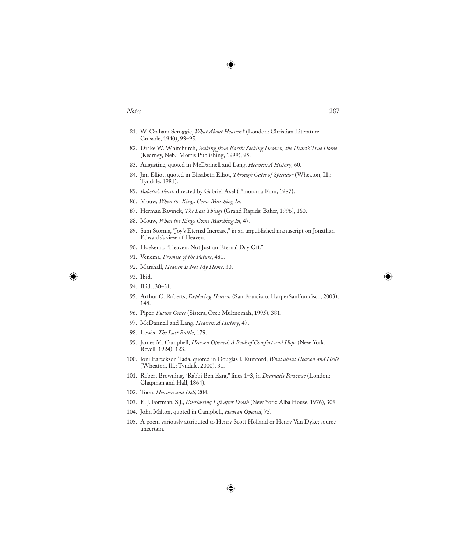- W. Graham Scroggie, *What About Heaven?* (London: Christian Literature 81. Crusade, 1940), 93–95.
- Drake W. Whitchurch, *Waking from Earth: Seeking Heaven, the Heart's True Home* 82. (Kearney, Neb.: Morris Publishing, 1999), 95.
- Augustine, quoted in McDannell and Lang, *Heaven: A History*, 60. 83.
- Jim Elliot, quoted in Elisabeth Elliot, *Through Gates of Splendor* (Wheaton, Ill.: 84. Tyndale, 1981).
- *Babette's Feast*, directed by Gabriel Axel (Panorama Film, 1987). 85.
- Mouw, *When the Kings Come Marching In.* 86.
- Herman Bavinck, *The Last Things* (Grand Rapids: Baker, 1996), 160. 87.
- 88. Mouw, When the Kings Come Marching In, 47.
- Sam Storms, "Joy's Eternal Increase," in an unpublished manuscript on Jonathan 89. Edwards's view of Heaven.
- 90. Hoekema, "Heaven: Not Just an Eternal Day Off."
- 91. Venema, *Promise of the Future*, 481.
- Marshall, *Heaven Is Not My Home*, 30. 92.
- 93. Ibid.
- 94. Ibid., 30–31.
- Arthur O. Roberts, *Exploring Heaven* (San Francisco: HarperSanFrancisco, 2003), 95. 148.
- Piper, *Future Grace* (Sisters, Ore.: Multnomah, 1995), 381. 96.
- 97. McDannell and Lang, *Heaven: A History*, 47.
- Lewis, *The Last Battle*, 179. 98.
- James M. Campbell, *Heaven Opened: A Book of Comfort and Hope* (New York: 99. Revell, 1924), 123.
- 100. Joni Eareckson Tada, quoted in Douglas J. Rumford, *What about Heaven and Hell?* (Wheaton, Ill.: Tyndale, 2000), 31.
- 101. Robert Browning, "Rabbi Ben Ezra," lines 1–3, in *Dramatis Personae* (London: Chapman and Hall, 1864).
- Toon, *Heaven and Hell*, 204. 102.
- E. J. Fortman, S.J., *Everlasting Life after Death* (New York: Alba House, 1976), 309. 103.
- 104. John Milton, quoted in Campbell, *Heaven Opened*, 75.
- 105. A poem variously attributed to Henry Scott Holland or Henry Van Dyke; source uncertain.